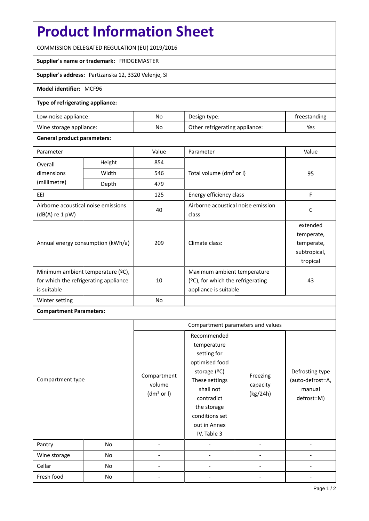# **Product Information Sheet**

COMMISSION DELEGATED REGULATION (EU) 2019/2016

## **Supplier's name or trademark:** FRIDGEMASTER

## **Supplier's address:** Partizanska 12, 3320 Velenje, SI

## **Model identifier:** MCF96

## **Type of refrigerating appliance:**

| Low-noise appliance:    | No | Design type:                   | freestanding |
|-------------------------|----|--------------------------------|--------------|
| Wine storage appliance: | No | Other refrigerating appliance: | Yes          |

#### **General product parameters:**

| Parameter                                                                                 |        | Value | Parameter                                                                                    | Value                                                            |
|-------------------------------------------------------------------------------------------|--------|-------|----------------------------------------------------------------------------------------------|------------------------------------------------------------------|
| Overall                                                                                   | Height | 854   |                                                                                              | 95                                                               |
| dimensions<br>(millimetre)                                                                | Width  | 546   | Total volume (dm <sup>3</sup> or I)                                                          |                                                                  |
|                                                                                           | Depth  | 479   |                                                                                              |                                                                  |
| EEI                                                                                       |        | 125   | Energy efficiency class                                                                      | F                                                                |
| Airborne acoustical noise emissions<br>$(dB(A)$ re 1 pW)                                  |        | 40    | Airborne acoustical noise emission<br>class                                                  | C                                                                |
| Annual energy consumption (kWh/a)                                                         |        | 209   | Climate class:                                                                               | extended<br>temperate,<br>temperate,<br>subtropical,<br>tropical |
| Minimum ambient temperature (°C),<br>for which the refrigerating appliance<br>is suitable |        | 10    | Maximum ambient temperature<br>$(2C)$ , for which the refrigerating<br>appliance is suitable | 43                                                               |
| Winter setting                                                                            |        | No    |                                                                                              |                                                                  |

## **Compartment Parameters:**

| Compartment type |           | Compartment parameters and values               |                                                                                                                                                                                          |                                  |                                                             |
|------------------|-----------|-------------------------------------------------|------------------------------------------------------------------------------------------------------------------------------------------------------------------------------------------|----------------------------------|-------------------------------------------------------------|
|                  |           | Compartment<br>volume<br>(dm <sup>3</sup> or I) | Recommended<br>temperature<br>setting for<br>optimised food<br>storage (ºC)<br>These settings<br>shall not<br>contradict<br>the storage<br>conditions set<br>out in Annex<br>IV, Table 3 | Freezing<br>capacity<br>(kg/24h) | Defrosting type<br>(auto-defrost=A,<br>manual<br>defrost=M) |
| Pantry           | No        |                                                 |                                                                                                                                                                                          |                                  |                                                             |
| Wine storage     | No        |                                                 |                                                                                                                                                                                          |                                  |                                                             |
| Cellar           | <b>No</b> |                                                 |                                                                                                                                                                                          |                                  |                                                             |
| Fresh food       | No        |                                                 |                                                                                                                                                                                          |                                  |                                                             |